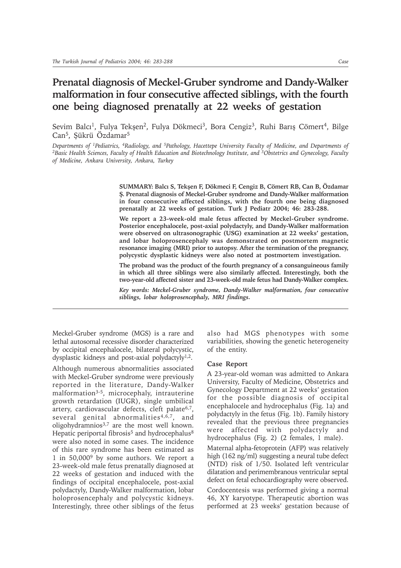# **Prenatal diagnosis of Meckel-Gruber syndrome and Dandy-Walker malformation in four consecutive affected siblings, with the fourth one being diagnosed prenatally at 22 weeks of gestation**

Sevim Balcı<sup>1</sup>, Fulya Tekşen<sup>2</sup>, Fulya Dökmeci<sup>3</sup>, Bora Cengiz<sup>3</sup>, Ruhi Barış Cömert<sup>4</sup>, Bilge Can<sup>5</sup>, Şükrü Özdamar<sup>5</sup>

*Departments of 1Pediatrics, 4Radiology, and 5Pathology, Hacettepe University Faculty of Medicine, and Departments of 2Basic Health Sciences, Faculty of Health Education and Biotechnology Institute, and 3Obstetrics and Gynecology, Faculty of Medicine, Ankara University, Ankara, Turkey*

> **SUMMARY: Balcý S, Tekþen F, Dökmeci F, Cengiz B, Cömert RB, Can B, Özdamar Þ. Prenatal diagnosis of Meckel-Gruber syndrome and Dandy-Walker malformation in four consecutive affected siblings, with the fourth one being diagnosed prenatally at 22 weeks of gestation. Turk J Pediatr 2004; 46: 283-288.**

> **We report a 23-week-old male fetus affected by Meckel-Gruber syndrome. Posterior encephalocele, post-axial polydactyly, and Dandy-Walker malformation were observed on ultrasonographic (USG) examination at 22 weeks' gestation, and lobar holoprosencephaly was demonstrated on postmortem magnetic resonance imaging (MRI) prior to autopsy. After the termination of the pregnancy, polycystic dysplastic kidneys were also noted at postmortem investigation.**

> **The proband was the product of the fourth pregnancy of a consanguineous family in which all three siblings were also similarly affected. Interestingly, both the two-year-old affected sister and 23-week-old male fetus had Dandy-Walker complex.**

> *Key words: Meckel-Gruber syndrome, Dandy-Walker malformation, four consecutive siblings, lobar holoprosencephaly, MRI findings.*

Meckel-Gruber syndrome (MGS) is a rare and lethal autosomal recessive disorder characterized by occipital encephalocele, bilateral polycystic, dysplastic kidneys and post-axial polydactyly<sup>1,2</sup>.

Although numerous abnormalities associated with Meckel-Gruber syndrome were previously reported in the literature, Dandy-Walker malformation3-5, microcephaly, intrauterine growth retardation (IUGR), single umbilical artery, cardiovascular defects, cleft palate<sup>6,7</sup>, several genital abnormalities<sup>4,6,7</sup>, and oligohydramnios<sup>3,7</sup> are the most well known. Hepatic periportal fibrosis<sup>5</sup> and hydrocephalus<sup>8</sup> were also noted in some cases. The incidence of this rare syndrome has been estimated as 1 in 50,0009 by some authors. We report a 23-week-old male fetus prenatally diagnosed at 22 weeks of gestation and induced with the findings of occipital encephalocele, post-axial polydactyly, Dandy-Walker malformation, lobar holoprosencephaly and polycystic kidneys. Interestingly, three other siblings of the fetus

also had MGS phenotypes with some variabilities, showing the genetic heterogeneity of the entity.

## **Case Report**

A 23-year-old woman was admitted to Ankara University, Faculty of Medicine, Obstetrics and Gynecology Department at 22 weeks' gestation for the possible diagnosis of occipital encephalocele and hydrocephalus (Fig. 1a) and polydactyly in the fetus (Fig. 1b). Family history revealed that the previous three pregnancies were affected with polydactyly and hydrocephalus (Fig. 2) (2 females, 1 male). Maternal alpha-fetoprotein (AFP) was relatively high (162 ng/ml) suggesting a neural tube defect (NTD) risk of 1/50. Isolated left ventricular dilatation and perimembranous ventricular septal defect on fetal echocardiography were observed. Cordocentesis was performed giving a normal 46, XY karyotype. Therapeutic abortion was performed at 23 weeks' gestation because of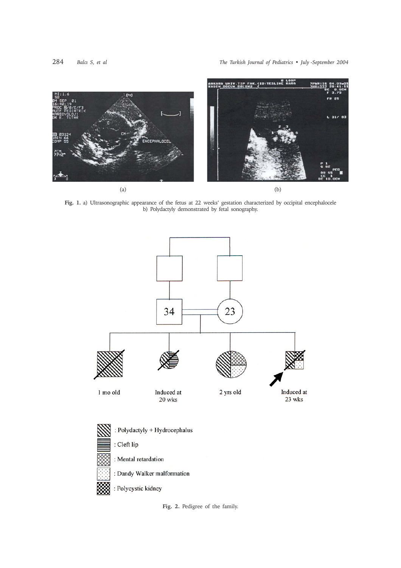

**Fig. 1.** a) Ultrasonographic appearance of the fetus at 22 weeks' gestation characterized by occipital encephalocele b) Polydactyly demonstrated by fetal sonography.



**Fig. 2.** Pedigree of the family.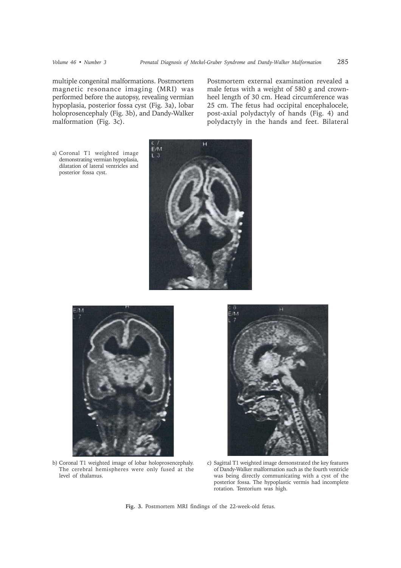multiple congenital malformations. Postmortem magnetic resonance imaging (MRI) was performed before the autopsy, revealing vermian hypoplasia, posterior fossa cyst (Fig. 3a), lobar holoprosencephaly (Fig. 3b), and Dandy-Walker malformation (Fig. 3c).

Postmortem external examination revealed a male fetus with a weight of 580 g and crownheel length of 30 cm. Head circumference was 25 cm. The fetus had occipital encephalocele, post-axial polydactyly of hands (Fig. 4) and polydactyly in the hands and feet. Bilateral

a) Coronal T1 weighted image demonstrating vermian hypoplasia, dilatation of lateral ventricles and posterior fossa cyst.





b) Coronal T1 weighted image of lobar holoprosencephaly. The cerebral hemispheres were only fused at the level of thalamus.



c) Sagittal T1 weighted image demonstrated the key features of Dandy-Walker malformation such as the fourth ventricle was being directly communicating with a cyst of the posterior fossa. The hypoplastic vermis had incomplete rotation. Tentorium was high.

**Fig. 3.** Postmortem MRI findings of the 22-week-old fetus.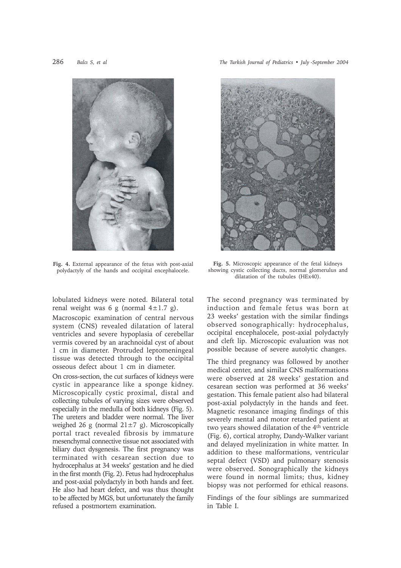

**Fig. 4.** External appearance of the fetus with post-axial polydactyly of the hands and occipital encephalocele.

lobulated kidneys were noted. Bilateral total renal weight was 6 g (normal  $4\pm 1.7$  g).

Macroscopic examination of central nervous system (CNS) revealed dilatation of lateral ventricles and severe hypoplasia of cerebellar vermis covered by an arachnoidal cyst of about 1 cm in diameter. Protruded leptomeningeal tissue was detected through to the occipital osseous defect about 1 cm in diameter.

On cross-section, the cut surfaces of kidneys were cystic in appearance like a sponge kidney. Microscopically cystic proximal, distal and collecting tubules of varying sizes were observed especially in the medulla of both kidneys (Fig. 5). The ureters and bladder were normal. The liver weighed 26 g (normal  $21 \pm 7$  g). Microscopically portal tract revealed fibrosis by immature mesenchymal connective tissue not associated with biliary duct dysgenesis. The first pregnancy was terminated with cesarean section due to hydrocephalus at 34 weeks' gestation and he died in the first month (Fig. 2). Fetus had hydrocephalus and post-axial polydactyly in both hands and feet. He also had heart defect, and was thus thought to be affected by MGS, but unfortunately the family refused a postmortem examination.

286 *Balci S, et al* The Turkish Journal of Pediatrics • July -September 2004



**Fig. 5.** Microscopic appearance of the fetal kidneys showing cystic collecting ducts, normal glomerulus and dilatation of the tubules (HEx40).

The second pregnancy was terminated by induction and female fetus was born at 23 weeks' gestation with the similar findings observed sonographically: hydrocephalus, occipital encephalocele, post-axial polydactyly and cleft lip. Microscopic evaluation was not possible because of severe autolytic changes.

The third pregnancy was followed by another medical center, and similar CNS malformations were observed at 28 weeks' gestation and cesarean section was performed at 36 weeks' gestation. This female patient also had bilateral post-axial polydactyly in the hands and feet. Magnetic resonance imaging findings of this severely mental and motor retarded patient at two years showed dilatation of the 4th ventricle (Fig. 6), cortical atrophy, Dandy-Walker variant and delayed myelinization in white matter. In addition to these malformations, ventricular septal defect (VSD) and pulmonary stenosis were observed. Sonographically the kidneys were found in normal limits; thus, kidney biopsy was not performed for ethical reasons.

Findings of the four siblings are summarized in Table I.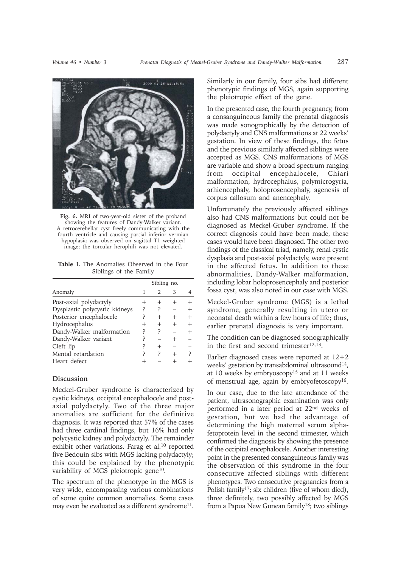

**Fig. 6.** MRI of two-year-old sister of the proband showing the features of Dandy-Walker variant. A retrocerebellar cyst freely communicating with the fourth ventricle and causing partial inferior vermian hypoplasia was observed on sagittal T1 weighted image; the torcular herophili was not elevated.

**Table I.** The Anomalies Observed in the Four Siblings of the Family

|                               | Sibling no. |        |   |  |
|-------------------------------|-------------|--------|---|--|
| Anomaly                       |             | 2      | 3 |  |
| Post-axial polydactyly        |             |        |   |  |
| Dysplastic polycystic kidneys | P           | ?      |   |  |
| Posterior encephalocele       |             | $\div$ |   |  |
| Hydrocephalus                 |             |        |   |  |
| Dandy-Walker malformation     | ς           | ς      |   |  |
| Dandy-Walker variant          |             |        |   |  |
| Cleft lip                     |             |        |   |  |
| Mental retardation            |             | ς      |   |  |
| Heart defect                  |             |        |   |  |

# **Discussion**

Meckel-Gruber syndrome is characterized by cystic kidneys, occipital encephalocele and postaxial polydactyly. Two of the three major anomalies are sufficient for the definitive diagnosis. It was reported that 57% of the cases had three cardinal findings, but 16% had only polycystic kidney and polydactyly. The remainder exhibit other variations. Farag et al.10 reported five Bedouin sibs with MGS lacking polydactyly; this could be explained by the phenotypic variability of MGS pleiotropic gene<sup>10</sup>.

The spectrum of the phenotype in the MGS is very wide, encompassing various combinations of some quite common anomalies. Some cases may even be evaluated as a different syndrome<sup>11</sup>. Similarly in our family, four sibs had different phenotypic findings of MGS, again supporting the pleiotropic effect of the gene.

In the presented case, the fourth pregnancy, from a consanguineous family the prenatal diagnosis was made sonographically by the detection of polydactyly and CNS malformations at 22 weeks' gestation. In view of these findings, the fetus and the previous similarly affected siblings were accepted as MGS. CNS malformations of MGS are variable and show a broad spectrum ranging from occipital encephalocele, Chiari malformation, hydrocephalus, polymicrogyria, arhiencephaly, holoprosencephaly, agenesis of corpus callosum and anencephaly.

Unfortunately the previously affected siblings also had CNS malformations but could not be diagnosed as Meckel-Gruber syndrome. If the correct diagnosis could have been made, these cases would have been diagnosed. The other two findings of the classical triad, namely, renal cystic dysplasia and post-axial polydactyly, were present in the affected fetus. In addition to these abnormalities, Dandy-Walker malformation, including lobar holoprosencephaly and posterior fossa cyst, was also noted in our case with MGS.

Meckel-Gruber syndrome (MGS) is a lethal syndrome, generally resulting in utero or neonatal death within a few hours of life; thus, earlier prenatal diagnosis is very important.

The condition can be diagnosed sonographically in the first and second trimester<sup>12,13</sup>.

Earlier diagnosed cases were reported at 12+2 weeks' gestation by transabdominal ultrasound<sup>14</sup>, at 10 weeks by embryoscopy15 and at 11 weeks of menstrual age, again by embryofetoscopy<sup>16</sup>.

In our case, due to the late attendance of the patient, ultrasonographic examination was only performed in a later period at 22nd weeks of gestation, but we had the advantage of determining the high maternal serum alphafetoprotein level in the second trimester, which confirmed the diagnosis by showing the presence of the occipital encephalocele. Another interesting point in the presented consanguineous family was the observation of this syndrome in the four consecutive affected siblings with different phenotypes. Two consecutive pregnancies from a Polish family<sup>17</sup>; six children (five of whom died), three definitely, two possibly affected by MGS from a Papua New Gunean family18; two siblings